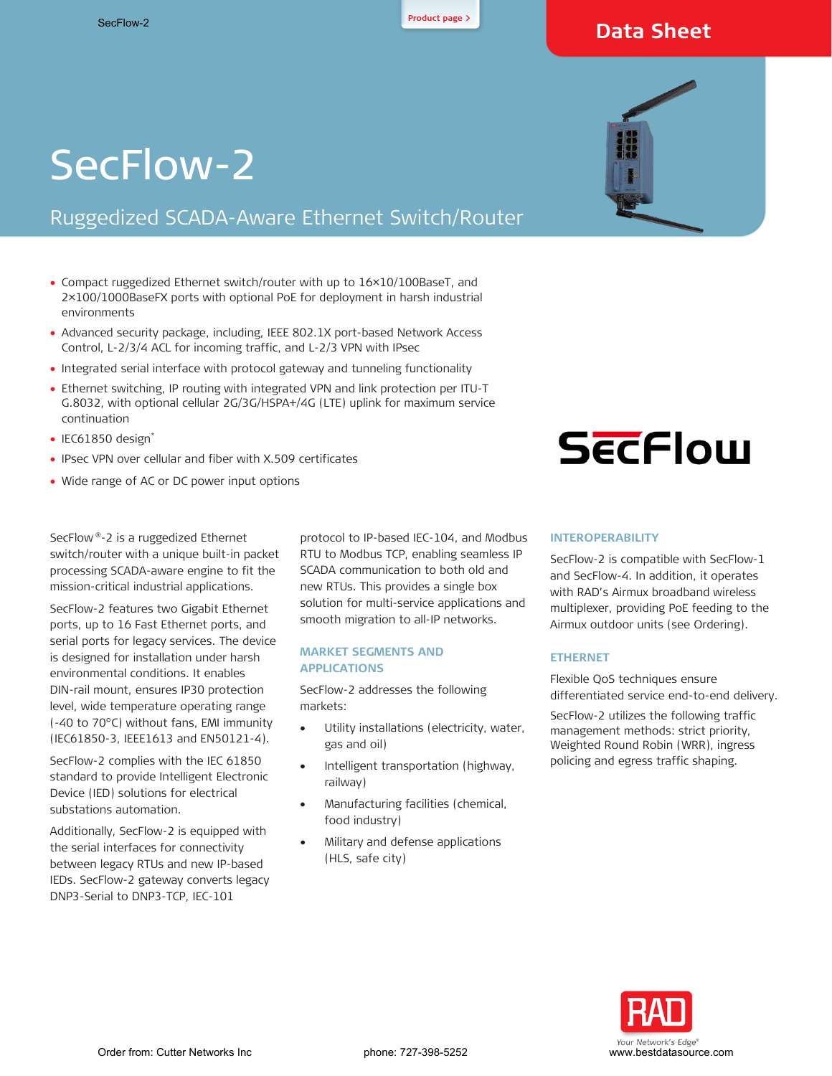

# **Data Sheet**

# SecFlow-2

# Ruggedized SCADA-Aware Ethernet Switch/Router

- Compact ruggedized Ethernet switch/router with up to 16×10/100BaseT, and 2×100/1000BaseFX ports with optional PoE for deployment in harsh industrial environments
- Advanced security package, including, IEEE 802.1X port-based Network Access Control, L-2/3/4 ACL for incoming traffic, and L-2/3 VPN with IPsec
- Integrated serial interface with protocol gateway and tunneling functionality
- Ethernet switching, IP routing with integrated VPN and link protection per ITU-T G.8032, with optional cellular 2G/3G/HSPA+/4G (LTE) uplink for maximum service continuation
- IEC61850 design\*
- IPsec VPN over cellular and fiber with X.509 certificates
- Wide range of AC or DC power input options

SecFlow ®-2 is a ruggedized Ethernet switch/router with a unique built-in packet processing SCADA-aware engine to fit the mission-critical industrial applications.

SecFlow-2 features two Gigabit Ethernet ports, up to 16 Fast Ethernet ports, and serial ports for legacy services. The device is designed for installation under harsh environmental conditions. It enables DIN-rail mount, ensures IP30 protection level, wide temperature operating range (-40 to 70°C) without fans, EMI immunity (IEC61850-3, IEEE1613 and EN50121-4).

SecFlow-2 complies with the IEC 61850 standard to provide Intelligent Electronic Device (IED) solutions for electrical substations automation.

Additionally, SecFlow-2 is equipped with the serial interfaces for connectivity between legacy RTUs and new IP-based IEDs. SecFlow-2 gateway converts legacy DNP3-Serial to DNP3-TCP, IEC-101

protocol to IP-based IEC-104, and Modbus RTU to Modbus TCP, enabling seamless IP SCADA communication to both old and new RTUs. This provides a single box solution for multi-service applications and smooth migration to all-IP networks.

#### **MARKET SEGMENTS AND APPLICATIONS**

SecFlow-2 addresses the following markets:

- Utility installations (electricity, water, gas and oil)
- Intelligent transportation (highway, railway)
- Manufacturing facilities (chemical, food industry)
- Military and defense applications (HLS, safe city)



# **SECFlow**

#### **INTEROPERABILITY**

SecFlow-2 is compatible with SecFlow-1 and SecFlow-4. In addition, it operates with RAD's Airmux broadband wireless multiplexer, providing PoE feeding to the Airmux outdoor units (see [Ordering\)](#page-3-0).

#### **ETHERNET**

Flexible QoS techniques ensure differentiated service end-to-end delivery.

SecFlow-2 utilizes the following traffic management methods: strict priority, Weighted Round Robin (WRR), ingress policing and egress traffic shaping.

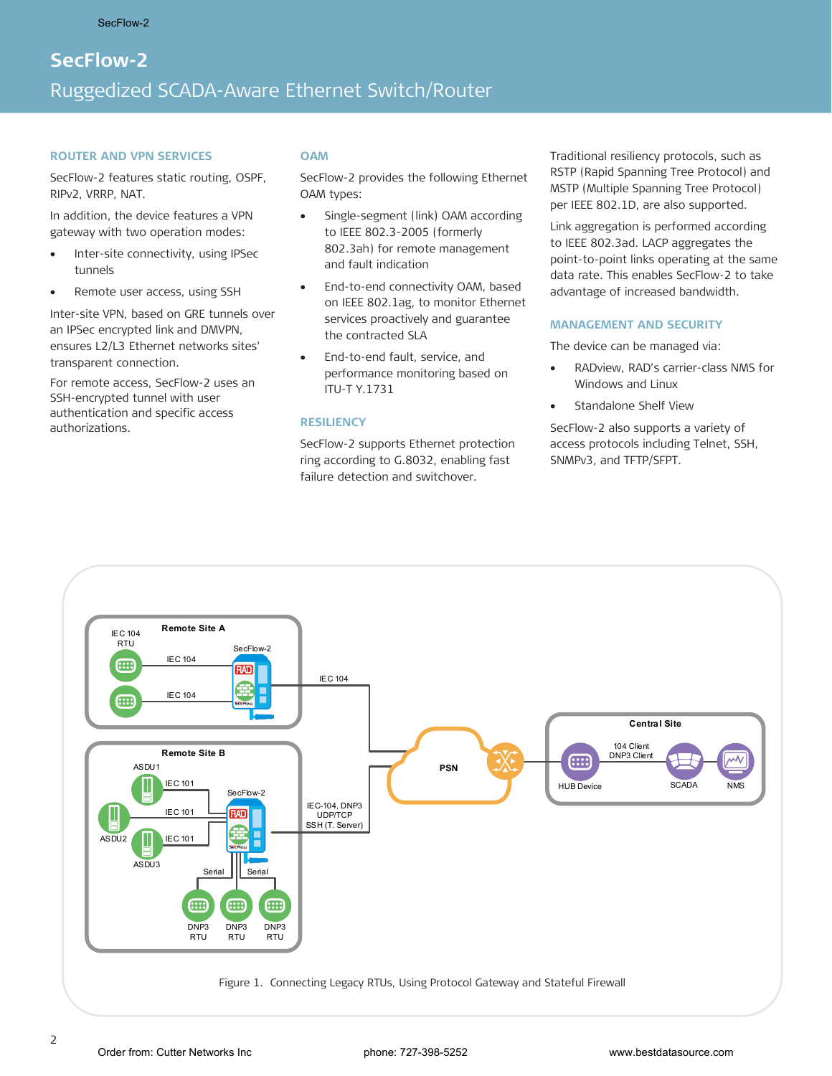# **SecFlow-2**  Ruggedized SCADA-Aware Ethernet Switch/Router

#### **ROUTER AND VPN SERVICES**

SecFlow-2 features static routing, OSPF, RIPv2, VRRP, NAT.

In addition, the device features a VPN gateway with two operation modes:

- Inter-site connectivity, using IPSec tunnels
- Remote user access, using SSH

Inter-site VPN, based on GRE tunnels over an IPSec encrypted link and DMVPN, ensures L2/L3 Ethernet networks sites' transparent connection.

For remote access, SecFlow-2 uses an SSH-encrypted tunnel with user authentication and specific access authorizations.

#### **OAM**

SecFlow-2 provides the following Ethernet OAM types:

- Single-segment (link) OAM according to IEEE 802.3-2005 (formerly 802.3ah) for remote management and fault indication
- End-to-end connectivity OAM, based on IEEE 802.1ag, to monitor Ethernet services proactively and guarantee the contracted SLA
- End-to-end fault, service, and performance monitoring based on ITU-T Y.1731

#### **RESILIENCY**

SecFlow-2 supports Ethernet protection ring according to G.8032, enabling fast failure detection and switchover.

Traditional resiliency protocols, such as RSTP (Rapid Spanning Tree Protocol) and MSTP (Multiple Spanning Tree Protocol) per IEEE 802.1D, are also supported.

Link aggregation is performed according to IEEE 802.3ad. LACP aggregates the point-to-point links operating at the same data rate. This enables SecFlow-2 to take advantage of increased bandwidth.

#### **MANAGEMENT AND SECURITY**

The device can be managed via:

- RADview, RAD's carrier-class NMS for Windows and Linux
- Standalone Shelf View

SecFlow-2 also supports a variety of access protocols including Telnet, SSH, SNMPv3, and TFTP/SFPT.



Figure 1. Connecting Legacy RTUs, Using Protocol Gateway and Stateful Firewall

2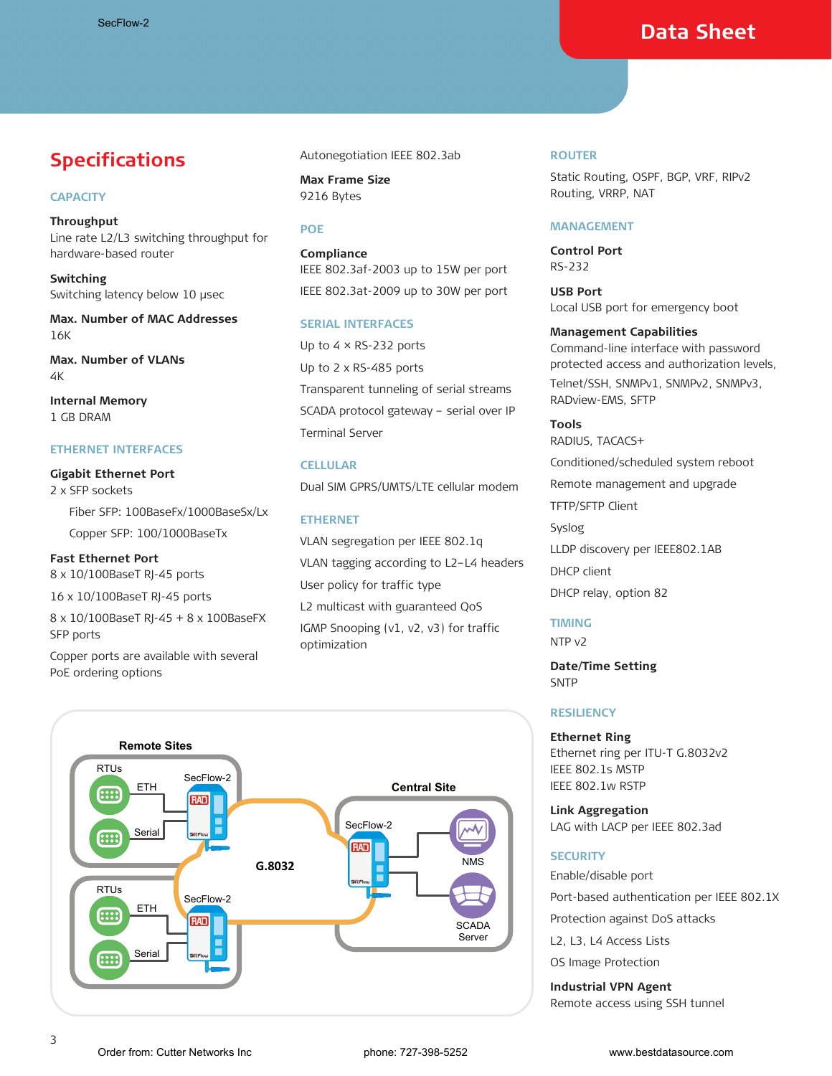# **Data Sheet**

# **Specifications**

#### **CAPACITY**

**Throughput** Line rate L2/L3 switching throughput for hardware-based router

**Switching** Switching latency below 10 μsec

**Max. Number of MAC Addresses** 16K

**Max. Number of VLANs** 4K

**Internal Memory** 1 GB DRAM

### **ETHERNET INTERFACES**

**Gigabit Ethernet Port** 2 x SFP sockets Fiber SFP: 100BaseFx/1000BaseSx/Lx Copper SFP: 100/1000BaseTx

# **Fast Ethernet Port**

8 x 10/100BaseT RJ-45 ports

16 x 10/100BaseT RJ-45 ports

8 x 10/100BaseT RJ-45 + 8 x 100BaseFX SFP ports

Copper ports are available with several PoE ordering options

Autonegotiation IEEE 802.3ab

**Max Frame Size** 9216 Bytes

#### **POE**

**Compliance** IEEE 802.3af-2003 up to 15W per port IEEE 802.3at-2009 up to 30W per port

#### **SERIAL INTERFACES**

Up to 4 × RS-232 ports Up to 2 x RS-485 ports Transparent tunneling of serial streams SCADA protocol gateway – serial over IP Terminal Server

# **CELLULAR**

Dual SIM GPRS/UMTS/LTE cellular modem

# **ETHERNET**

VLAN segregation per IEEE 802.1q VLAN tagging according to L2–L4 headers User policy for traffic type L2 multicast with guaranteed QoS IGMP Snooping (v1, v2, v3) for traffic optimization

#### **ROUTER**

Static Routing, OSPF, BGP, VRF, RIPv2 Routing, VRRP, NAT

#### **MANAGEMENT**

**Control Port** RS-232

**USB Port** Local USB port for emergency boot

#### **Management Capabilities**

Command-line interface with password protected access and authorization levels, Telnet/SSH, SNMPv1, SNMPv2, SNMPv3, RADview-EMS, SFTP

**Tools**  RADIUS, TACACS+ Conditioned/scheduled system reboot Remote management and upgrade TFTP/SFTP Client Syslog LLDP discovery per IEEE802.1AB DHCP client DHCP relay, option 82

# **TIMING**

NTP v2

**Date/Time Setting** SNTP

#### **RESILIENCY**

#### **Ethernet Ring**

Ethernet ring per ITU-T G.8032v2 IEEE 802.1s MSTP IEEE 802.1w RSTP

**Link Aggregation** LAG with LACP per IEEE 802.3ad

#### **SECURITY**

Enable/disable port

Port-based authentication per IEEE 802.1X

Protection against DoS attacks

L2, L3, L4 Access Lists

OS Image Protection

**Industrial VPN Agent** Remote access using SSH tunnel

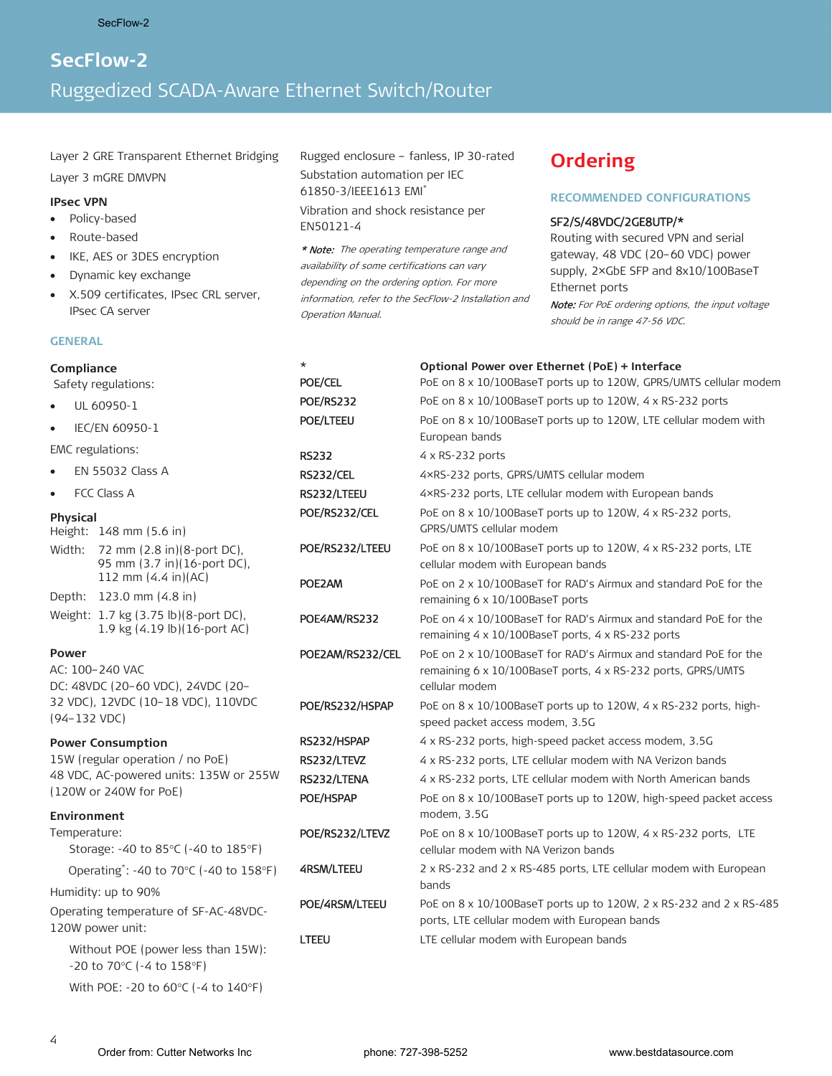# **SecFlow-2**  Ruggedized SCADA-Aware Ethernet Switch/Router

Layer 2 GRE Transparent Ethernet Bridging

Layer 3 mGRE DMVPN

#### **IPsec VPN**

- Policy-based
- Route-based
- IKE, AES or 3DES encryption
- Dynamic key exchange
- X.509 certificates, IPsec CRL server, IPsec CA server

#### **GENERAL**

Rugged enclosure – fanless, IP 30-rated Substation automation per IEC 61850-3/IEEE1613 EMI\*

Vibration and shock resistance per EN50121-4

\* Note: The operating temperature range and availability of some certifications can vary depending on the ordering option. For more information, refer to the SecFlow-2 Installation and Operation Manual.

# <span id="page-3-0"></span>**Ordering**

#### **RECOMMENDED CONFIGURATIONS**

#### SF2/S/48VDC/2GE8UTP/\*

Routing with secured VPN and serial gateway, 48 VDC (20–60 VDC) power supply, 2×GbE SFP and 8x10/100BaseT Ethernet ports

Note: For PoE ordering options, the input voltage should be in range 47-56 VDC.

| Compliance                                                                                                 | $\star$                             | Optional Power over Ethernet (PoE) + Interface                                                                                                                                                                         |
|------------------------------------------------------------------------------------------------------------|-------------------------------------|------------------------------------------------------------------------------------------------------------------------------------------------------------------------------------------------------------------------|
| Safety regulations:                                                                                        | <b>POE/CEL</b>                      | PoE on 8 x 10/100BaseT ports up to 120W, GPRS/UMTS cellular modem                                                                                                                                                      |
| UL 60950-1<br>$\bullet$                                                                                    | <b>POE/RS232</b>                    | PoE on 8 x 10/100BaseT ports up to 120W, 4 x RS-232 ports                                                                                                                                                              |
| IEC/EN 60950-1<br>$\bullet$                                                                                | <b>POE/LTEEU</b>                    | PoE on 8 x 10/100BaseT ports up to 120W, LTE cellular modem with<br>European bands                                                                                                                                     |
| EMC regulations:                                                                                           | <b>RS232</b>                        | 4 x RS-232 ports                                                                                                                                                                                                       |
| EN 55032 Class A<br>٠                                                                                      | <b>RS232/CEL</b>                    | 4×RS-232 ports, GPRS/UMTS cellular modem                                                                                                                                                                               |
| FCC Class A<br>$\bullet$                                                                                   | RS232/LTEEU                         | 4xRS-232 ports, LTE cellular modem with European bands                                                                                                                                                                 |
| <b>Physical</b><br>Height: 148 mm (5.6 in)                                                                 | POE/RS232/CEL                       | PoE on 8 x 10/100BaseT ports up to 120W, 4 x RS-232 ports,<br>GPRS/UMTS cellular modem                                                                                                                                 |
| 72 mm (2.8 in)(8-port DC),<br>Width:<br>95 mm (3.7 in)(16-port DC),                                        | POE/RS232/LTEEU                     | PoE on 8 x 10/100BaseT ports up to 120W, 4 x RS-232 ports, LTE<br>cellular modem with European bands                                                                                                                   |
| 112 mm (4.4 in)(AC)<br>Depth: 123.0 mm (4.8 in)                                                            | POE2AM                              | PoE on 2 x 10/100BaseT for RAD's Airmux and standard PoE for the<br>remaining 6 x 10/100BaseT ports                                                                                                                    |
| Weight: 1.7 kg (3.75 lb)(8-port DC),<br>1.9 kg (4.19 lb)(16-port AC)                                       | POE4AM/RS232                        | PoE on 4 x 10/100BaseT for RAD's Airmux and standard PoE for the<br>remaining 4 x 10/100BaseT ports, 4 x RS-232 ports                                                                                                  |
| <b>Power</b><br>AC: 100-240 VAC<br>DC: 48VDC (20-60 VDC), 24VDC (20-<br>32 VDC), 12VDC (10-18 VDC), 110VDC | POE2AM/RS232/CEL<br>POE/RS232/HSPAP | PoE on 2 x 10/100BaseT for RAD's Airmux and standard PoE for the<br>remaining 6 x 10/100BaseT ports, 4 x RS-232 ports, GPRS/UMTS<br>cellular modem<br>PoE on 8 x 10/100BaseT ports up to 120W, 4 x RS-232 ports, high- |
| $(94 - 132 VDC)$                                                                                           |                                     | speed packet access modem, 3.5G                                                                                                                                                                                        |
| <b>Power Consumption</b>                                                                                   | RS232/HSPAP                         | 4 x RS-232 ports, high-speed packet access modem, 3.5G                                                                                                                                                                 |
| 15W (regular operation / no PoE)                                                                           | RS232/LTEVZ                         | 4 x RS-232 ports, LTE cellular modem with NA Verizon bands                                                                                                                                                             |
| 48 VDC, AC-powered units: 135W or 255W                                                                     | RS232/LTENA                         | 4 x RS-232 ports, LTE cellular modem with North American bands                                                                                                                                                         |
| (120W or 240W for PoE)<br>Environment                                                                      | POE/HSPAP                           | PoE on 8 x 10/100BaseT ports up to 120W, high-speed packet access<br>modem, 3.5G                                                                                                                                       |
| Temperature:<br>Storage: -40 to 85°C (-40 to 185°F)                                                        | POE/RS232/LTEVZ                     | PoE on 8 x 10/100BaseT ports up to 120W, 4 x RS-232 ports, LTE<br>cellular modem with NA Verizon bands                                                                                                                 |
| Operating*: -40 to 70 $\degree$ C (-40 to 158 $\degree$ F)                                                 | <b>4RSM/LTEEU</b>                   | 2 x RS-232 and 2 x RS-485 ports, LTE cellular modem with European                                                                                                                                                      |
| Humidity: up to 90%                                                                                        |                                     | bands                                                                                                                                                                                                                  |
| Operating temperature of SF-AC-48VDC-<br>120W power unit:                                                  | POE/4RSM/LTEEU                      | PoE on 8 x 10/100BaseT ports up to 120W, 2 x RS-232 and 2 x RS-485<br>ports, LTE cellular modem with European bands                                                                                                    |
| Without POE (power less than 15W):<br>-20 to 70°C (-4 to 158°F)                                            | <b>LTEEU</b>                        | LTE cellular modem with European bands                                                                                                                                                                                 |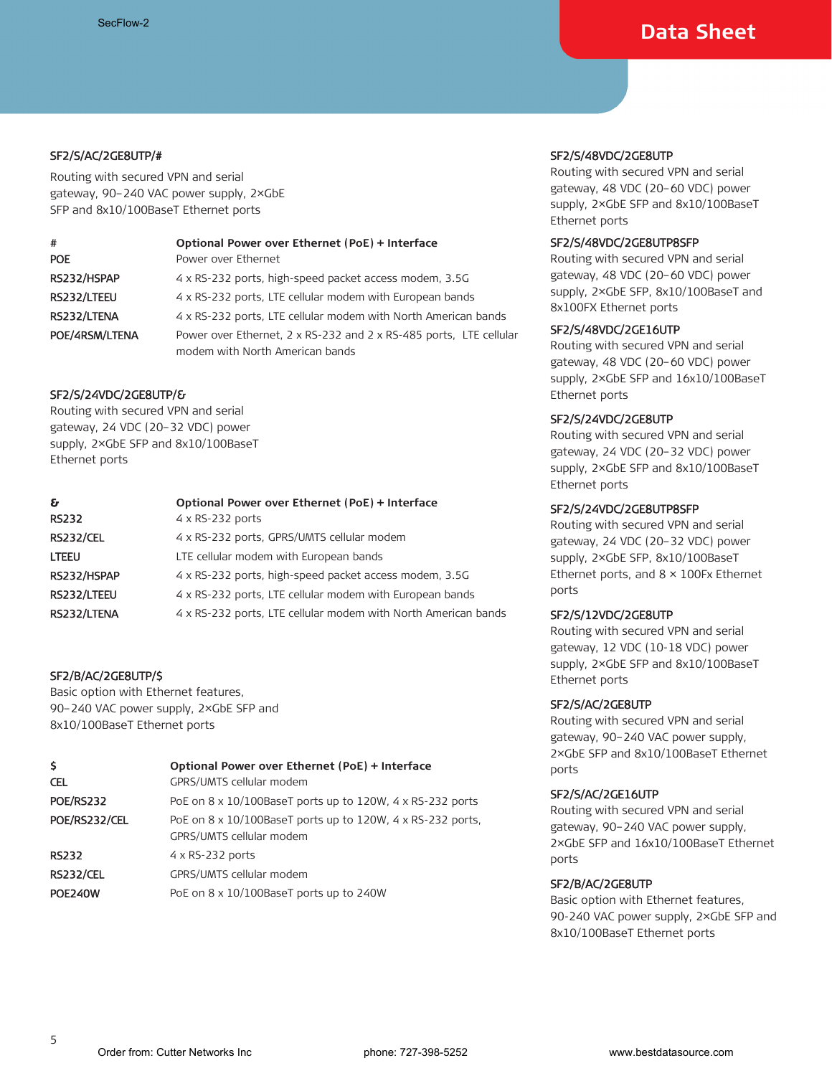# **Data Sheet**

# SF2/S/AC/2GE8UTP/#

Routing with secured VPN and serial gateway, 90–240 VAC power supply, 2×GbE SFP and 8x10/100BaseT Ethernet ports

| #              | Optional Power over Ethernet (PoE) + Interface                                                        |
|----------------|-------------------------------------------------------------------------------------------------------|
| <b>POE</b>     | Power over Ethernet                                                                                   |
| RS232/HSPAP    | 4 x RS-232 ports, high-speed packet access modem, 3.5G                                                |
| RS232/LTEEU    | 4 x RS-232 ports, LTE cellular modem with European bands                                              |
| RS232/LTENA    | 4 x RS-232 ports, LTE cellular modem with North American bands                                        |
| POE/4RSM/LTENA | Power over Ethernet, 2 x RS-232 and 2 x RS-485 ports, LTE cellular<br>modem with North American bands |

#### SF2/S/24VDC/2GE8UTP/&

Routing with secured VPN and serial gateway, 24 VDC (20–32 VDC) power supply, 2×GbE SFP and 8x10/100BaseT Ethernet ports

| £.               | Optional Power over Ethernet (PoE) + Interface                 |
|------------------|----------------------------------------------------------------|
| <b>RS232</b>     | $4 \times$ RS-232 ports                                        |
| <b>RS232/CEL</b> | 4 x RS-232 ports, GPRS/UMTS cellular modem                     |
| LTEEU            | LTE cellular modem with European bands                         |
| RS232/HSPAP      | 4 x RS-232 ports, high-speed packet access modem, 3.5G         |
| RS232/LTEEU      | 4 x RS-232 ports, LTE cellular modem with European bands       |
| RS232/LTENA      | 4 x RS-232 ports, LTE cellular modem with North American bands |

# SF2/B/AC/2GE8UTP/\$

Basic option with Ethernet features, 90–240 VAC power supply, 2×GbE SFP and 8x10/100BaseT Ethernet ports

| \$<br><b>CEL</b> | Optional Power over Ethernet (PoE) + Interface<br>GPRS/UMTS cellular modem                                |
|------------------|-----------------------------------------------------------------------------------------------------------|
| <b>POE/RS232</b> | PoE on 8 x 10/100BaseT ports up to 120W, 4 x RS-232 ports                                                 |
| POE/RS232/CEL    | PoE on $8 \times 10/100$ BaseT ports up to $120W$ , $4 \times R$ S-232 ports,<br>GPRS/UMTS cellular modem |
| <b>RS232</b>     | $4 \times$ RS-232 ports                                                                                   |
| <b>RS232/CEL</b> | GPRS/UMTS cellular modem                                                                                  |
| <b>POE240W</b>   | PoE on 8 x 10/100BaseT ports up to 240W                                                                   |

# SF2/S/48VDC/2GE8UTP

Routing with secured VPN and serial gateway, 48 VDC (20–60 VDC) power supply, 2×GbE SFP and 8x10/100BaseT Ethernet ports

## SF2/S/48VDC/2GE8UTP8SFP

Routing with secured VPN and serial gateway, 48 VDC (20–60 VDC) power supply, 2×GbE SFP, 8x10/100BaseT and 8x100FX Ethernet ports

#### SF2/S/48VDC/2GE16UTP

Routing with secured VPN and serial gateway, 48 VDC (20–60 VDC) power supply, 2×GbE SFP and 16x10/100BaseT Ethernet ports

# SF2/S/24VDC/2GE8UTP

Routing with secured VPN and serial gateway, 24 VDC (20–32 VDC) power supply, 2×GbE SFP and 8x10/100BaseT Ethernet ports

# SF2/S/24VDC/2GE8UTP8SFP

Routing with secured VPN and serial gateway, 24 VDC (20–32 VDC) power supply, 2×GbE SFP, 8x10/100BaseT Ethernet ports, and 8 × 100Fx Ethernet ports

# SF2/S/12VDC/2GE8UTP

Routing with secured VPN and serial gateway, 12 VDC (10-18 VDC) power supply, 2×GbE SFP and 8x10/100BaseT Ethernet ports

# SF2/S/AC/2GE8UTP

Routing with secured VPN and serial gateway, 90–240 VAC power supply, 2×GbE SFP and 8x10/100BaseT Ethernet ports

# SF2/S/AC/2GE16UTP

Routing with secured VPN and serial gateway, 90–240 VAC power supply, 2×GbE SFP and 16x10/100BaseT Ethernet ports

# SF2/B/AC/2GE8UTP

Basic option with Ethernet features, 90-240 VAC power supply, 2×GbE SFP and 8x10/100BaseT Ethernet ports